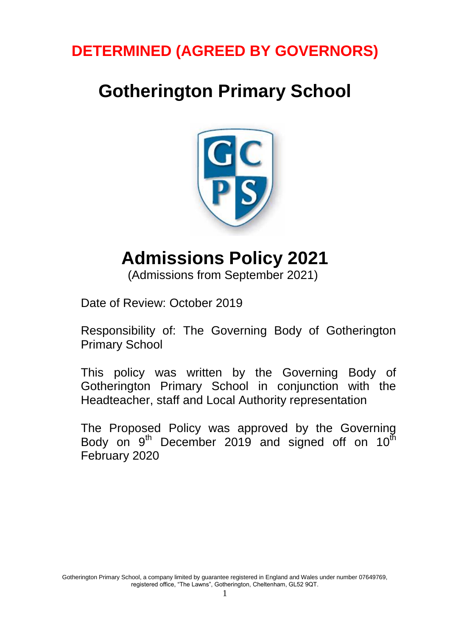# **DETERMINED (AGREED BY GOVERNORS)**

# **Gotherington Primary School**



# **Admissions Policy 2021**

(Admissions from September 2021)

Date of Review: October 2019

Responsibility of: The Governing Body of Gotherington Primary School

This policy was written by the Governing Body of Gotherington Primary School in conjunction with the Headteacher, staff and Local Authority representation

The Proposed Policy was approved by the Governing Body on  $9<sup>th</sup>$  December 2019 and signed off on 10 $<sup>th</sup>$ </sup> February 2020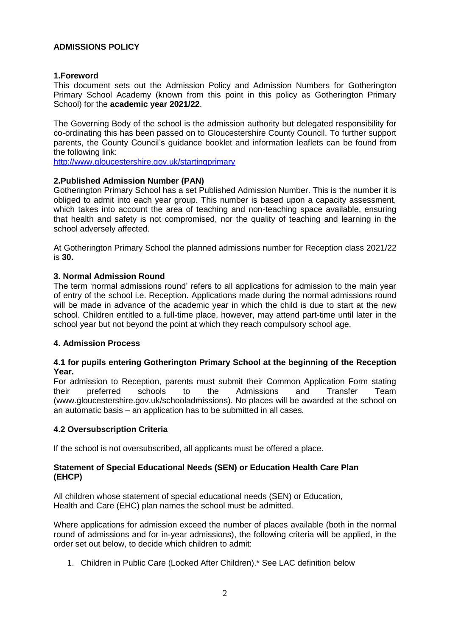# **ADMISSIONS POLICY**

# **1.Foreword**

This document sets out the Admission Policy and Admission Numbers for Gotherington Primary School Academy (known from this point in this policy as Gotherington Primary School) for the **academic year 2021/22**.

The Governing Body of the school is the admission authority but delegated responsibility for co-ordinating this has been passed on to Gloucestershire County Council. To further support parents, the County Council's guidance booklet and information leaflets can be found from the following link:

<http://www.gloucestershire.gov.uk/startingprimary>

# **2.Published Admission Number (PAN)**

Gotherington Primary School has a set Published Admission Number. This is the number it is obliged to admit into each year group. This number is based upon a capacity assessment, which takes into account the area of teaching and non-teaching space available, ensuring that health and safety is not compromised, nor the quality of teaching and learning in the school adversely affected.

At Gotherington Primary School the planned admissions number for Reception class 2021/22 is **30.**

# **3. Normal Admission Round**

The term 'normal admissions round' refers to all applications for admission to the main year of entry of the school i.e. Reception. Applications made during the normal admissions round will be made in advance of the academic year in which the child is due to start at the new school. Children entitled to a full-time place, however, may attend part-time until later in the school year but not beyond the point at which they reach compulsory school age.

# **4. Admission Process**

# **4.1 for pupils entering Gotherington Primary School at the beginning of the Reception Year.**

For admission to Reception, parents must submit their Common Application Form stating their preferred schools to the Admissions and Transfer Team (www.gloucestershire.gov.uk/schooladmissions). No places will be awarded at the school on an automatic basis – an application has to be submitted in all cases.

# **4.2 Oversubscription Criteria**

If the school is not oversubscribed, all applicants must be offered a place.

#### **Statement of Special Educational Needs (SEN) or Education Health Care Plan (EHCP)**

All children whose statement of special educational needs (SEN) or Education, Health and Care (EHC) plan names the school must be admitted.

Where applications for admission exceed the number of places available (both in the normal round of admissions and for in-year admissions), the following criteria will be applied, in the order set out below, to decide which children to admit:

1. Children in Public Care (Looked After Children).\* See LAC definition below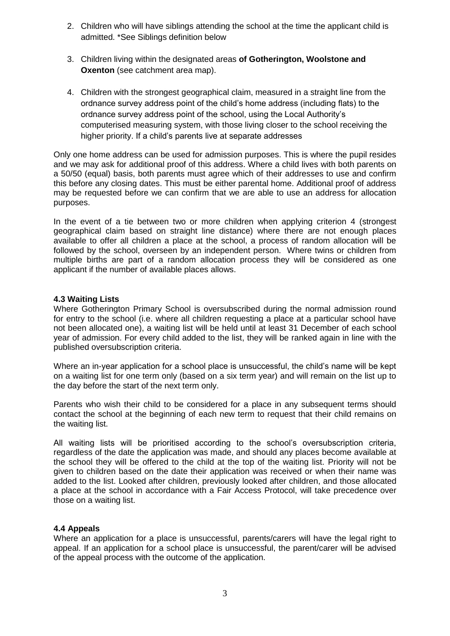- 2. Children who will have siblings attending the school at the time the applicant child is admitted. \*See Siblings definition below
- 3. Children living within the designated areas **of Gotherington, Woolstone and Oxenton** (see catchment area map).
- 4. Children with the strongest geographical claim, measured in a straight line from the ordnance survey address point of the child's home address (including flats) to the ordnance survey address point of the school, using the Local Authority's computerised measuring system, with those living closer to the school receiving the higher priority. If a child's parents live at separate addresses

Only one home address can be used for admission purposes. This is where the pupil resides and we may ask for additional proof of this address. Where a child lives with both parents on a 50/50 (equal) basis, both parents must agree which of their addresses to use and confirm this before any closing dates. This must be either parental home. Additional proof of address may be requested before we can confirm that we are able to use an address for allocation purposes.

In the event of a tie between two or more children when applying criterion 4 (strongest geographical claim based on straight line distance) where there are not enough places available to offer all children a place at the school, a process of random allocation will be followed by the school, overseen by an independent person. Where twins or children from multiple births are part of a random allocation process they will be considered as one applicant if the number of available places allows.

# **4.3 Waiting Lists**

Where Gotherington Primary School is oversubscribed during the normal admission round for entry to the school (i.e. where all children requesting a place at a particular school have not been allocated one), a waiting list will be held until at least 31 December of each school year of admission. For every child added to the list, they will be ranked again in line with the published oversubscription criteria.

Where an in-year application for a school place is unsuccessful, the child's name will be kept on a waiting list for one term only (based on a six term year) and will remain on the list up to the day before the start of the next term only.

Parents who wish their child to be considered for a place in any subsequent terms should contact the school at the beginning of each new term to request that their child remains on the waiting list.

All waiting lists will be prioritised according to the school's oversubscription criteria, regardless of the date the application was made, and should any places become available at the school they will be offered to the child at the top of the waiting list. Priority will not be given to children based on the date their application was received or when their name was added to the list. Looked after children, previously looked after children, and those allocated a place at the school in accordance with a Fair Access Protocol, will take precedence over those on a waiting list.

# **4.4 Appeals**

Where an application for a place is unsuccessful, parents/carers will have the legal right to appeal. If an application for a school place is unsuccessful, the parent/carer will be advised of the appeal process with the outcome of the application.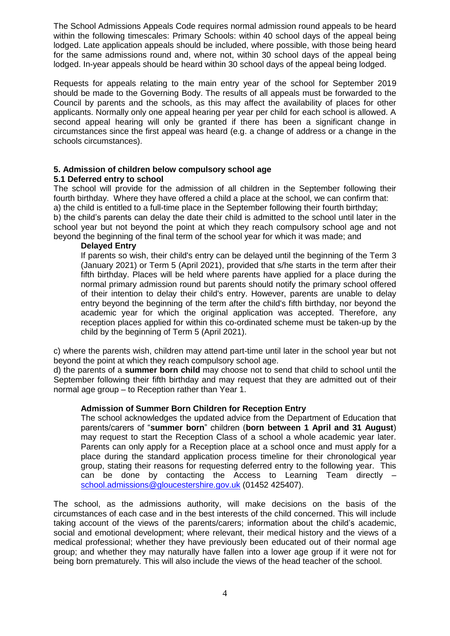The School Admissions Appeals Code requires normal admission round appeals to be heard within the following timescales: Primary Schools: within 40 school days of the appeal being lodged. Late application appeals should be included, where possible, with those being heard for the same admissions round and, where not, within 30 school days of the appeal being lodged. In-year appeals should be heard within 30 school days of the appeal being lodged.

Requests for appeals relating to the main entry year of the school for September 2019 should be made to the Governing Body. The results of all appeals must be forwarded to the Council by parents and the schools, as this may affect the availability of places for other applicants. Normally only one appeal hearing per year per child for each school is allowed. A second appeal hearing will only be granted if there has been a significant change in circumstances since the first appeal was heard (e.g. a change of address or a change in the schools circumstances).

# **5. Admission of children below compulsory school age**

# **5.1 Deferred entry to school**

The school will provide for the admission of all children in the September following their fourth birthday. Where they have offered a child a place at the school, we can confirm that: a) the child is entitled to a full-time place in the September following their fourth birthday; b) the child's parents can delay the date their child is admitted to the school until later in the school year but not beyond the point at which they reach compulsory school age and not beyond the beginning of the final term of the school year for which it was made; and

#### **Delayed Entry**

If parents so wish, their child's entry can be delayed until the beginning of the Term 3 (January 2021) or Term 5 (April 2021), provided that s/he starts in the term after their fifth birthday. Places will be held where parents have applied for a place during the normal primary admission round but parents should notify the primary school offered of their intention to delay their child's entry. However, parents are unable to delay entry beyond the beginning of the term after the child's fifth birthday, nor beyond the academic year for which the original application was accepted. Therefore, any reception places applied for within this co-ordinated scheme must be taken-up by the child by the beginning of Term 5 (April 2021).

c) where the parents wish, children may attend part-time until later in the school year but not beyond the point at which they reach compulsory school age.

d) the parents of a **summer born child** may choose not to send that child to school until the September following their fifth birthday and may request that they are admitted out of their normal age group – to Reception rather than Year 1.

# **Admission of Summer Born Children for Reception Entry**

The school acknowledges the updated advice from the Department of Education that parents/carers of "**summer born**" children (**born between 1 April and 31 August**) may request to start the Reception Class of a school a whole academic year later. Parents can only apply for a Reception place at a school once and must apply for a place during the standard application process timeline for their chronological year group, stating their reasons for requesting deferred entry to the following year. This can be done by contacting the Access to Learning Team directly – [school.admissions@gloucestershire.gov.uk](mailto:school.admissions@gloucestershire.gov.uk) (01452 425407).

The school, as the admissions authority, will make decisions on the basis of the circumstances of each case and in the best interests of the child concerned. This will include taking account of the views of the parents/carers; information about the child's academic, social and emotional development; where relevant, their medical history and the views of a medical professional; whether they have previously been educated out of their normal age group; and whether they may naturally have fallen into a lower age group if it were not for being born prematurely. This will also include the views of the head teacher of the school.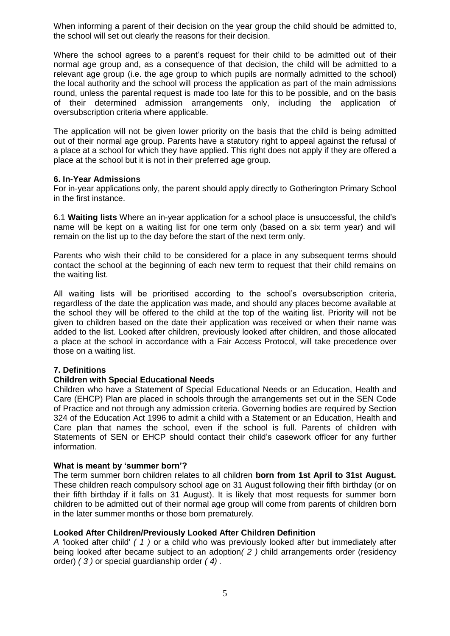When informing a parent of their decision on the year group the child should be admitted to, the school will set out clearly the reasons for their decision.

Where the school agrees to a parent's request for their child to be admitted out of their normal age group and, as a consequence of that decision, the child will be admitted to a relevant age group (i.e. the age group to which pupils are normally admitted to the school) the local authority and the school will process the application as part of the main admissions round, unless the parental request is made too late for this to be possible, and on the basis of their determined admission arrangements only, including the application of oversubscription criteria where applicable.

The application will not be given lower priority on the basis that the child is being admitted out of their normal age group. Parents have a statutory right to appeal against the refusal of a place at a school for which they have applied. This right does not apply if they are offered a place at the school but it is not in their preferred age group.

#### **6. In-Year Admissions**

For in-year applications only, the parent should apply directly to Gotherington Primary School in the first instance.

6.1 **Waiting lists** Where an in-year application for a school place is unsuccessful, the child's name will be kept on a waiting list for one term only (based on a six term year) and will remain on the list up to the day before the start of the next term only.

Parents who wish their child to be considered for a place in any subsequent terms should contact the school at the beginning of each new term to request that their child remains on the waiting list.

All waiting lists will be prioritised according to the school's oversubscription criteria, regardless of the date the application was made, and should any places become available at the school they will be offered to the child at the top of the waiting list. Priority will not be given to children based on the date their application was received or when their name was added to the list. Looked after children, previously looked after children, and those allocated a place at the school in accordance with a Fair Access Protocol, will take precedence over those on a waiting list.

# **7. Definitions**

#### **Children with Special Educational Needs**

Children who have a Statement of Special Educational Needs or an Education, Health and Care (EHCP) Plan are placed in schools through the arrangements set out in the SEN Code of Practice and not through any admission criteria. Governing bodies are required by Section 324 of the Education Act 1996 to admit a child with a Statement or an Education, Health and Care plan that names the school, even if the school is full. Parents of children with Statements of SEN or EHCP should contact their child's casework officer for any further information.

#### **What is meant by 'summer born'?**

The term summer born children relates to all children **born from 1st April to 31st August.** These children reach compulsory school age on 31 August following their fifth birthday (or on their fifth birthday if it falls on 31 August). It is likely that most requests for summer born children to be admitted out of their normal age group will come from parents of children born in the later summer months or those born prematurely.

# **Looked After Children/Previously Looked After Children Definition**

*A '*looked after child' *( 1 )* or a child who was previously looked after but immediately after being looked after became subject to an adoption*( 2 )* child arrangements order (residency order) *( 3 )* or special guardianship order *( 4) .*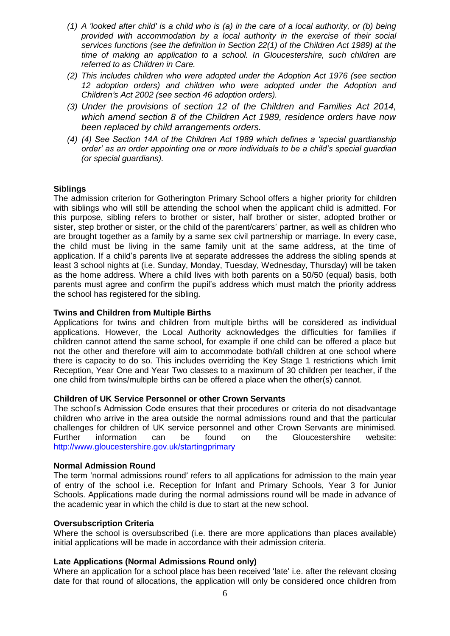- *(1) A 'looked after child' is a child who is (a) in the care of a local authority, or (b) being provided with accommodation by a local authority in the exercise of their social services functions (see the definition in Section 22(1) of the Children Act 1989) at the time of making an application to a school. In Gloucestershire, such children are referred to as Children in Care.*
- *(2) This includes children who were adopted under the Adoption Act 1976 (see section 12 adoption orders) and children who were adopted under the Adoption and Children's Act 2002 (see section 46 adoption orders).*
- *(3) Under the provisions of section 12 of the Children and Families Act 2014, which amend section 8 of the Children Act 1989, residence orders have now been replaced by child arrangements orders.*
- *(4) (4) See Section 14A of the Children Act 1989 which defines a 'special guardianship order' as an order appointing one or more individuals to be a child's special guardian (or special guardians).*

#### **Siblings**

The admission criterion for Gotherington Primary School offers a higher priority for children with siblings who will still be attending the school when the applicant child is admitted. For this purpose, sibling refers to brother or sister, half brother or sister, adopted brother or sister, step brother or sister, or the child of the parent/carers' partner, as well as children who are brought together as a family by a same sex civil partnership or marriage. In every case, the child must be living in the same family unit at the same address, at the time of application. If a child's parents live at separate addresses the address the sibling spends at least 3 school nights at (i.e. Sunday, Monday, Tuesday, Wednesday, Thursday) will be taken as the home address. Where a child lives with both parents on a 50/50 (equal) basis, both parents must agree and confirm the pupil's address which must match the priority address the school has registered for the sibling.

#### **Twins and Children from Multiple Births**

Applications for twins and children from multiple births will be considered as individual applications. However, the Local Authority acknowledges the difficulties for families if children cannot attend the same school, for example if one child can be offered a place but not the other and therefore will aim to accommodate both/all children at one school where there is capacity to do so. This includes overriding the Key Stage 1 restrictions which limit Reception, Year One and Year Two classes to a maximum of 30 children per teacher, if the one child from twins/multiple births can be offered a place when the other(s) cannot.

#### **Children of UK Service Personnel or other Crown Servants**

The school's Admission Code ensures that their procedures or criteria do not disadvantage children who arrive in the area outside the normal admissions round and that the particular challenges for children of UK service personnel and other Crown Servants are minimised. Further information can be found on the Gloucestershire website: <http://www.gloucestershire.gov.uk/startingprimary>

#### **Normal Admission Round**

The term 'normal admissions round' refers to all applications for admission to the main year of entry of the school i.e. Reception for Infant and Primary Schools, Year 3 for Junior Schools. Applications made during the normal admissions round will be made in advance of the academic year in which the child is due to start at the new school.

#### **Oversubscription Criteria**

Where the school is oversubscribed (i.e. there are more applications than places available) initial applications will be made in accordance with their admission criteria.

#### **Late Applications (Normal Admissions Round only)**

Where an application for a school place has been received 'late' i.e. after the relevant closing date for that round of allocations, the application will only be considered once children from